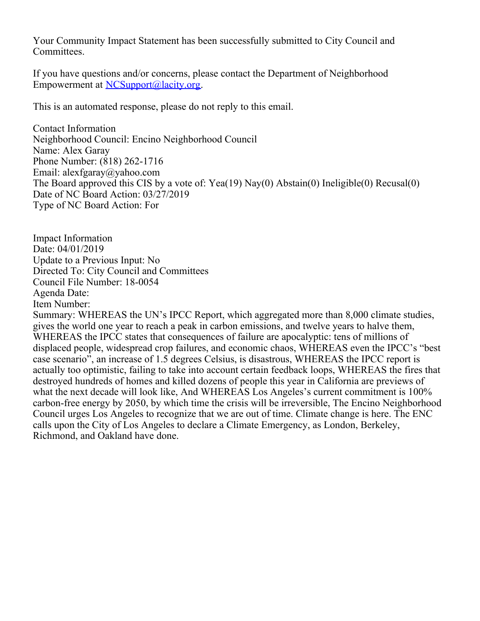Your Community Impact Statement has been successfully submitted to City Council and Committees.

If you have questions and/or concerns, please contact the Department of Neighborhood Empowerment at [NCSupport@lacity.org](mailto:NCSupport@lacity.org).

This is an automated response, please do not reply to this email.

Contact Information Neighborhood Council: Encino Neighborhood Council Name: Alex Garay Phone Number: (818) 262-1716 Email: alexfgaray@yahoo.com The Board approved this CIS by a vote of: Yea(19) Nay(0) Abstain(0) Ineligible(0) Recusal(0) Date of NC Board Action: 03/27/2019 Type of NC Board Action: For

Impact Information Date: 04/01/2019 Update to a Previous Input: No Directed To: City Council and Committees Council File Number: 18-0054 Agenda Date: Item Number:

Summary: WHEREAS the UN's IPCC Report, which aggregated more than 8,000 climate studies, gives the world one year to reach a peak in carbon emissions, and twelve years to halve them, WHEREAS the IPCC states that consequences of failure are apocalyptic: tens of millions of displaced people, widespread crop failures, and economic chaos, WHEREAS even the IPCC's "best case scenario", an increase of 1.5 degrees Celsius, is disastrous, WHEREAS the IPCC report is actually too optimistic, failing to take into account certain feedback loops, WHEREAS the fires that destroyed hundreds of homes and killed dozens of people this year in California are previews of what the next decade will look like, And WHEREAS Los Angeles's current commitment is 100% carbon-free energy by 2050, by which time the crisis will be irreversible, The Encino Neighborhood Council urges Los Angeles to recognize that we are out of time. Climate change is here. The ENC calls upon the City of Los Angeles to declare a Climate Emergency, as London, Berkeley, Richmond, and Oakland have done.